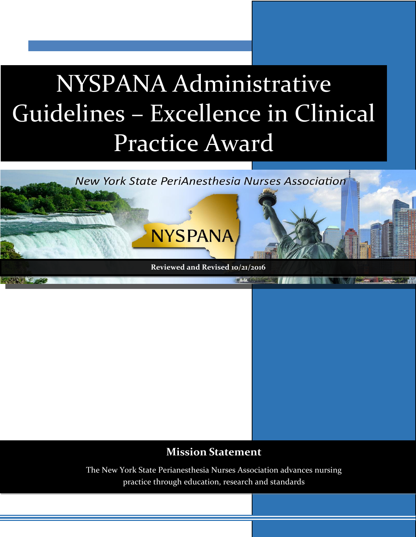# NYSPANA Administrative Guidelines – Excellence in Clinical Practice Award





 $62.16$ 

**NYSPANA** 

### **Mission Statement**

The New York State Perianesthesia Nurses Association advances nursing practice through education, research and standards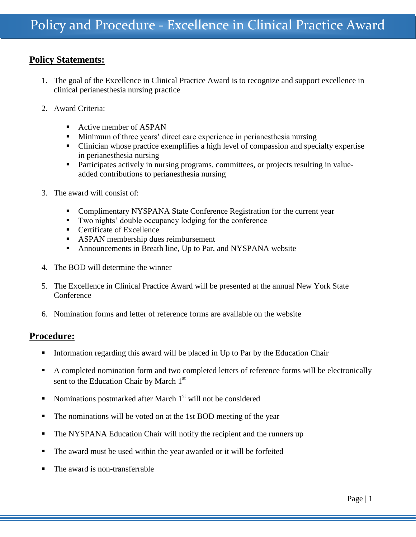#### **Policy Statements:**

- 1. The goal of the Excellence in Clinical Practice Award is to recognize and support excellence in clinical perianesthesia nursing practice
- 2. Award Criteria:
	- Active member of ASPAN
	- Minimum of three years' direct care experience in perianesthesia nursing
	- Clinician whose practice exemplifies a high level of compassion and specialty expertise in perianesthesia nursing
	- Participates actively in nursing programs, committees, or projects resulting in valueadded contributions to perianesthesia nursing
- 3. The award will consist of:
	- **Complimentary NYSPANA State Conference Registration for the current year**
	- Two nights' double occupancy lodging for the conference
	- Certificate of Excellence
	- ASPAN membership dues reimbursement
	- Announcements in Breath line, Up to Par, and NYSPANA website
- 4. The BOD will determine the winner
- 5. The Excellence in Clinical Practice Award will be presented at the annual New York State **Conference**
- 6. Nomination forms and letter of reference forms are available on the website

#### **Procedure:**

- Information regarding this award will be placed in Up to Par by the Education Chair
- A completed nomination form and two completed letters of reference forms will be electronically sent to the Education Chair by March 1<sup>st</sup>
- Nominations postmarked after March  $1<sup>st</sup>$  will not be considered
- The nominations will be voted on at the 1st BOD meeting of the year
- The NYSPANA Education Chair will notify the recipient and the runners up
- The award must be used within the year awarded or it will be forfeited
- The award is non-transferrable